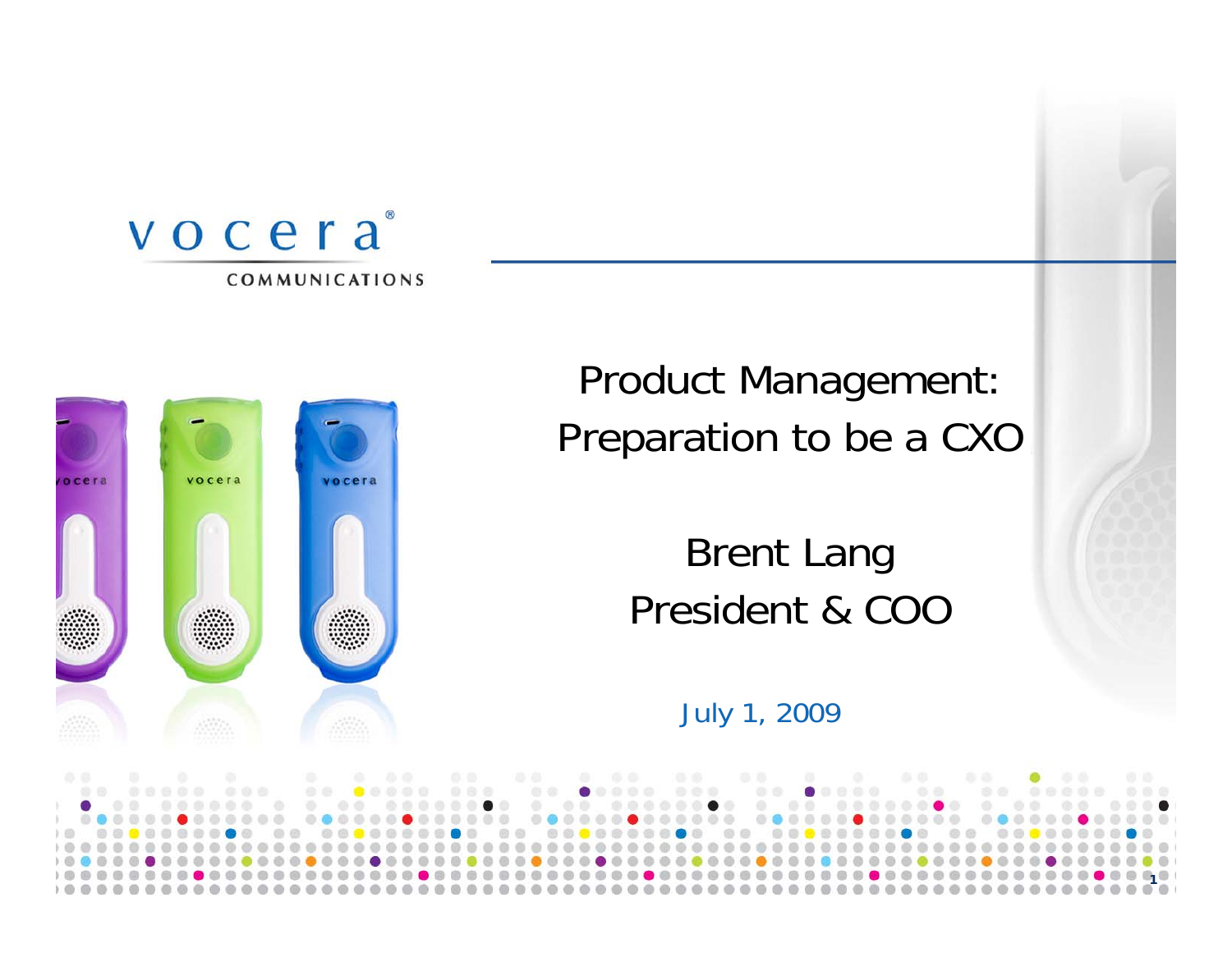



Product Management: Preparation to be a CXO

## Brent Lang President & COO

July 1, 2009

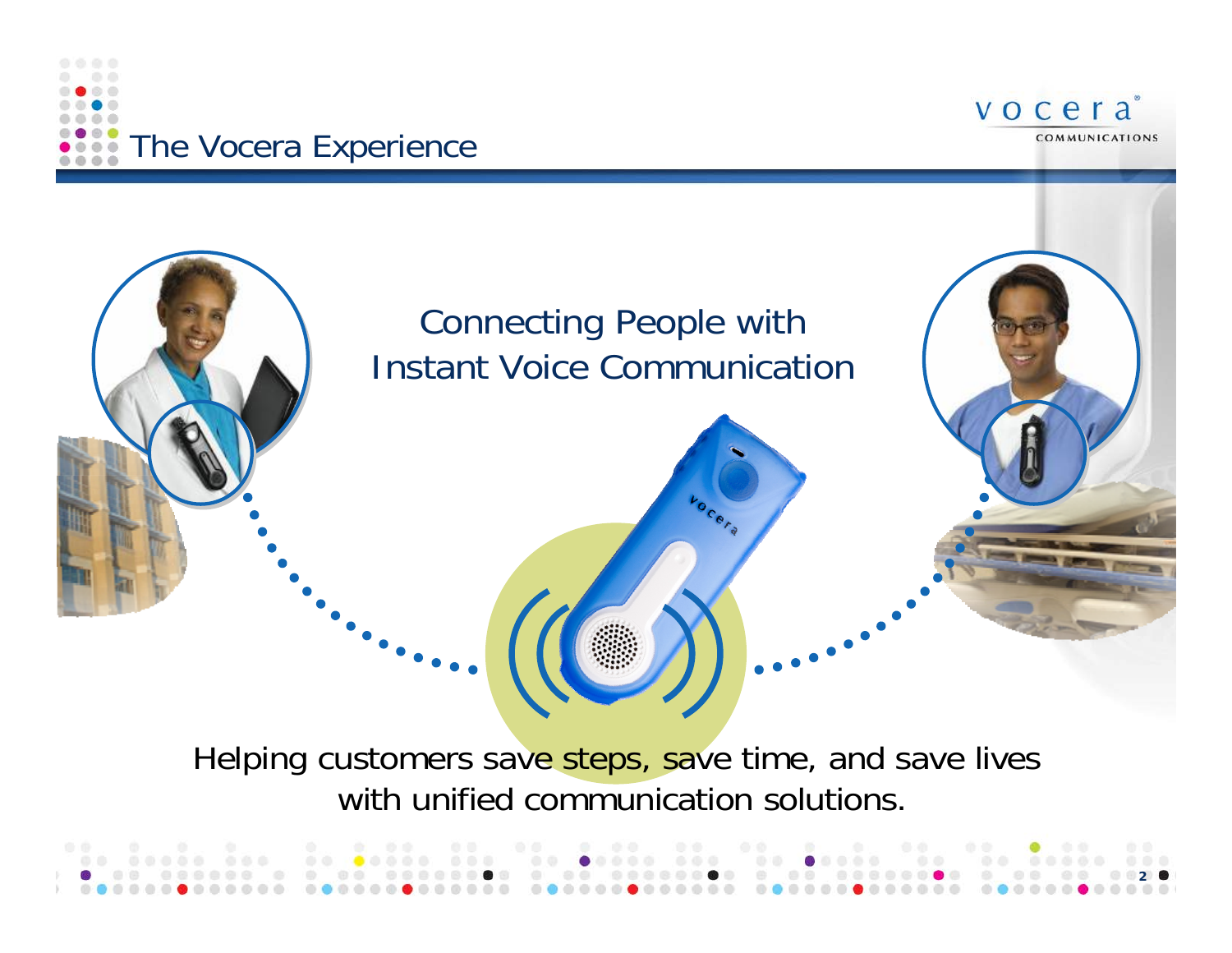





## Helping customers save steps, save time, and save lives with unified communication solutions.

|  | . An abada aba da eadan aba an eadan aba am easas as ar agaan aba                                |  |  |  |  |  |
|--|--------------------------------------------------------------------------------------------------|--|--|--|--|--|
|  | . On the compact the compact of the compact of the compact of the compact of $\sim$ 0.000 $\sim$ |  |  |  |  |  |
|  |                                                                                                  |  |  |  |  |  |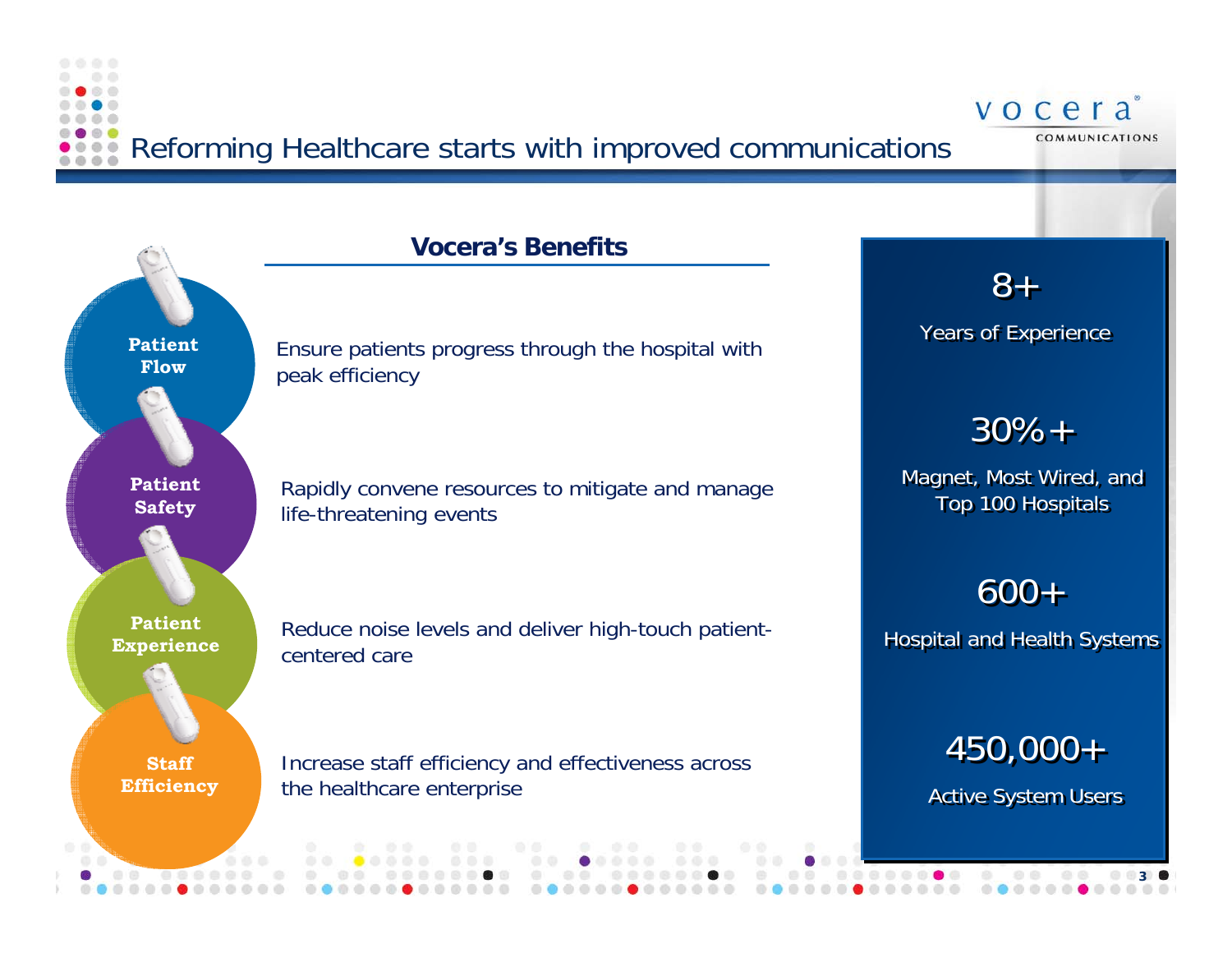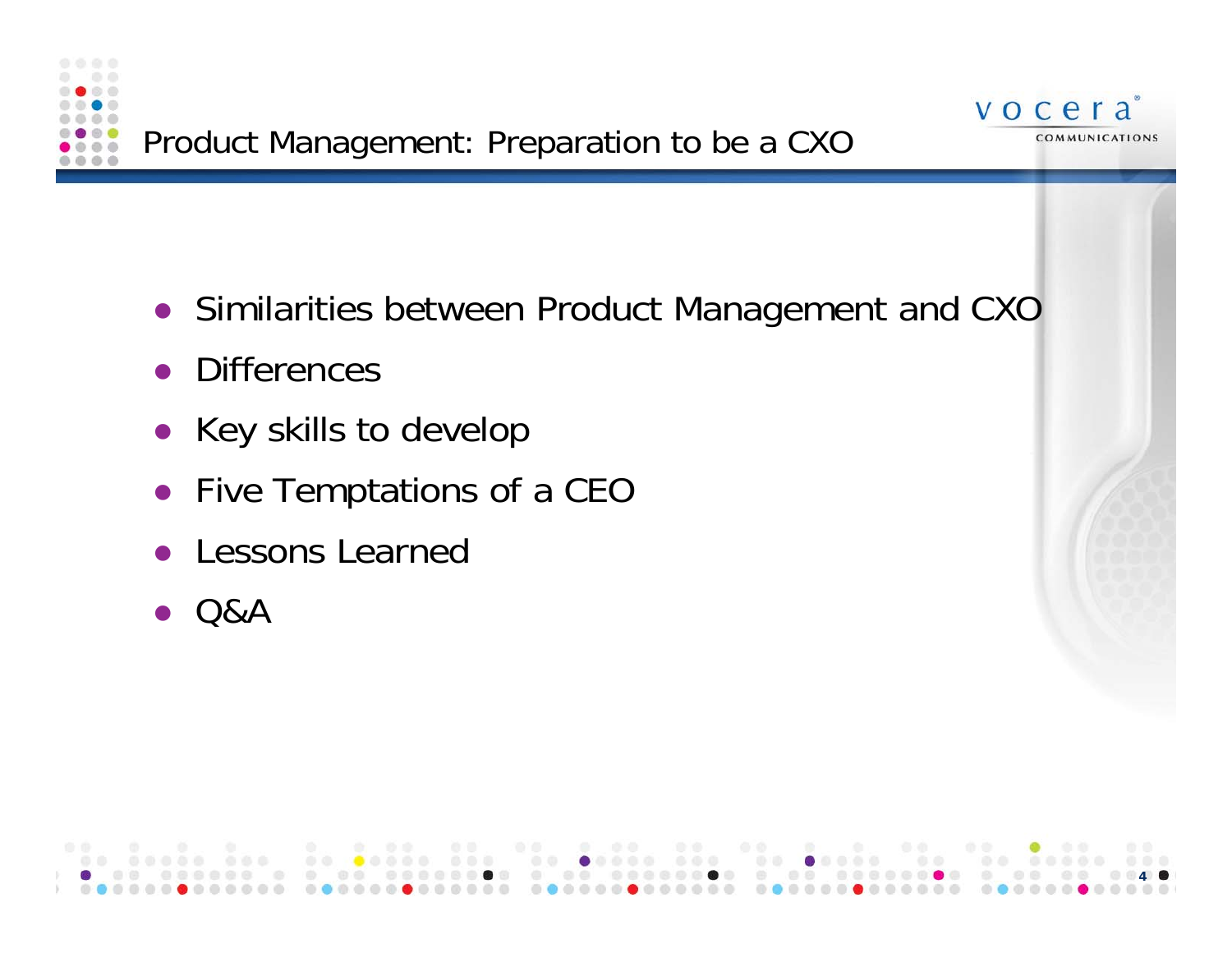



- **•** Similarities between Product Management and CXC
- $\bullet$ **Differences**
- $\bullet$  Key skills to develop
- Five Temptations of a CEC
- $\bullet$ Lessons Learned
- $\bullet$ Q&A

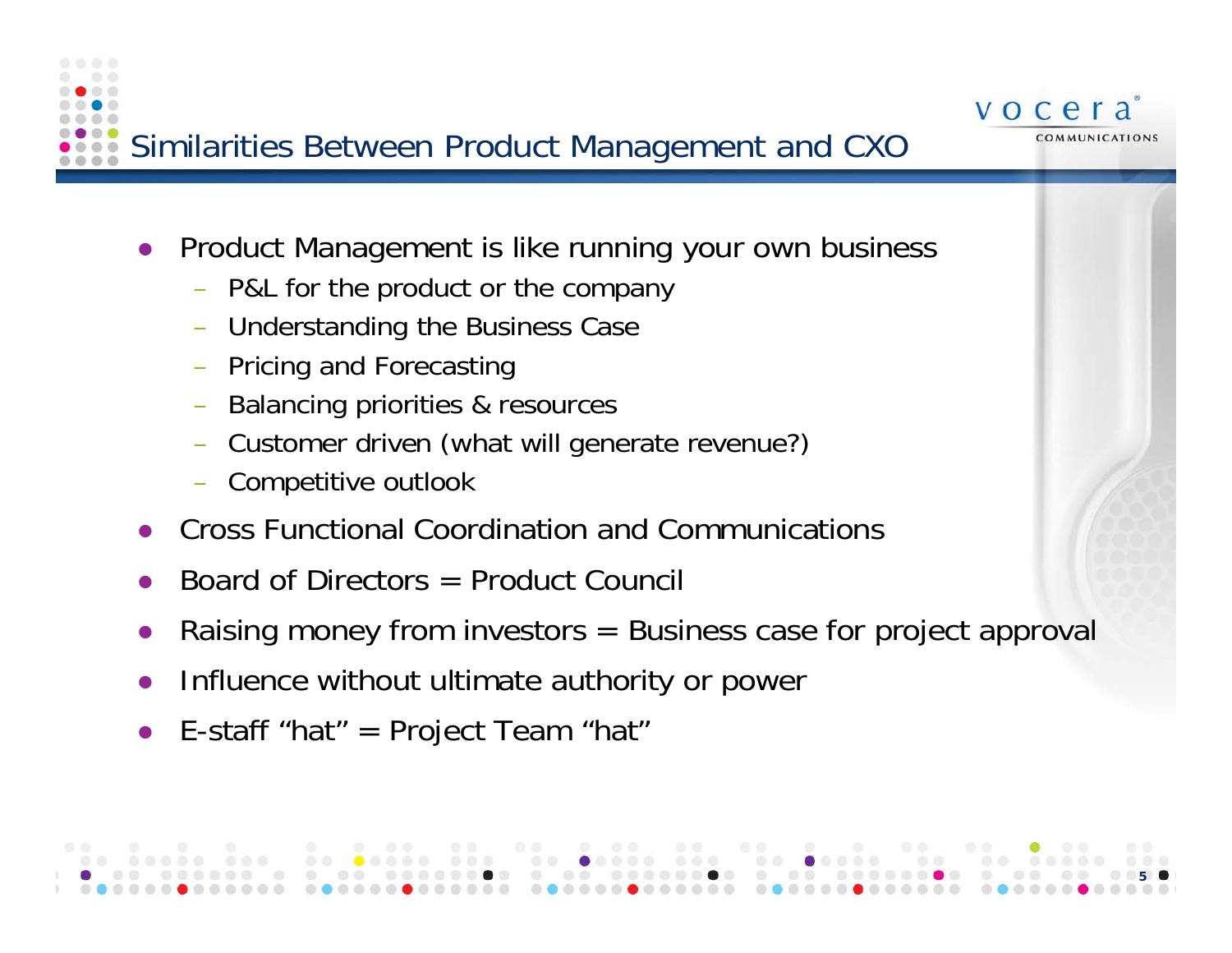

• Product Management is like running your own business

vocera

COMMUNICATIONS

- P&L for the product or the company
- –Understanding the Business Case
- Pricing and Forecasting
- –Balancing priorities & resources
- Customer driven (what will generate revenue?)
- Competitive outlook
- $\bullet$ Cross Functional Coordination and Communications
- $\bullet$ Board of Directors = Product Council
- $\bullet$ Raising money from investors = Business case for project approval
- $\bullet$ Influence without ultimate authority or power
- $\bullet$ E-staff "hat"  $=$  Project Team "hat"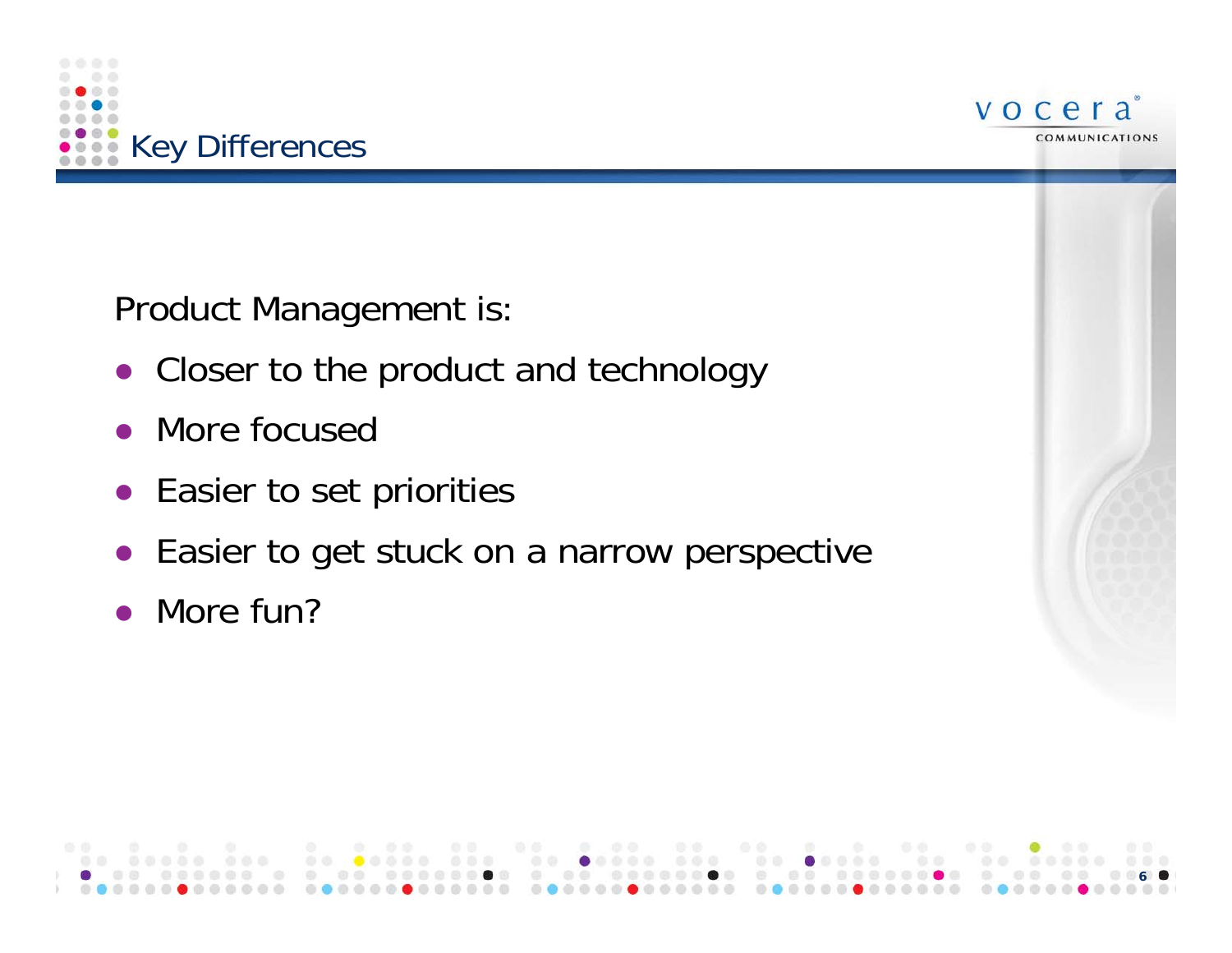



Product Management is:

- Closer to the product and technology
- More focused
- Easier to set priorities
- Easier to get stuck on a narrow perspective
- More fun?

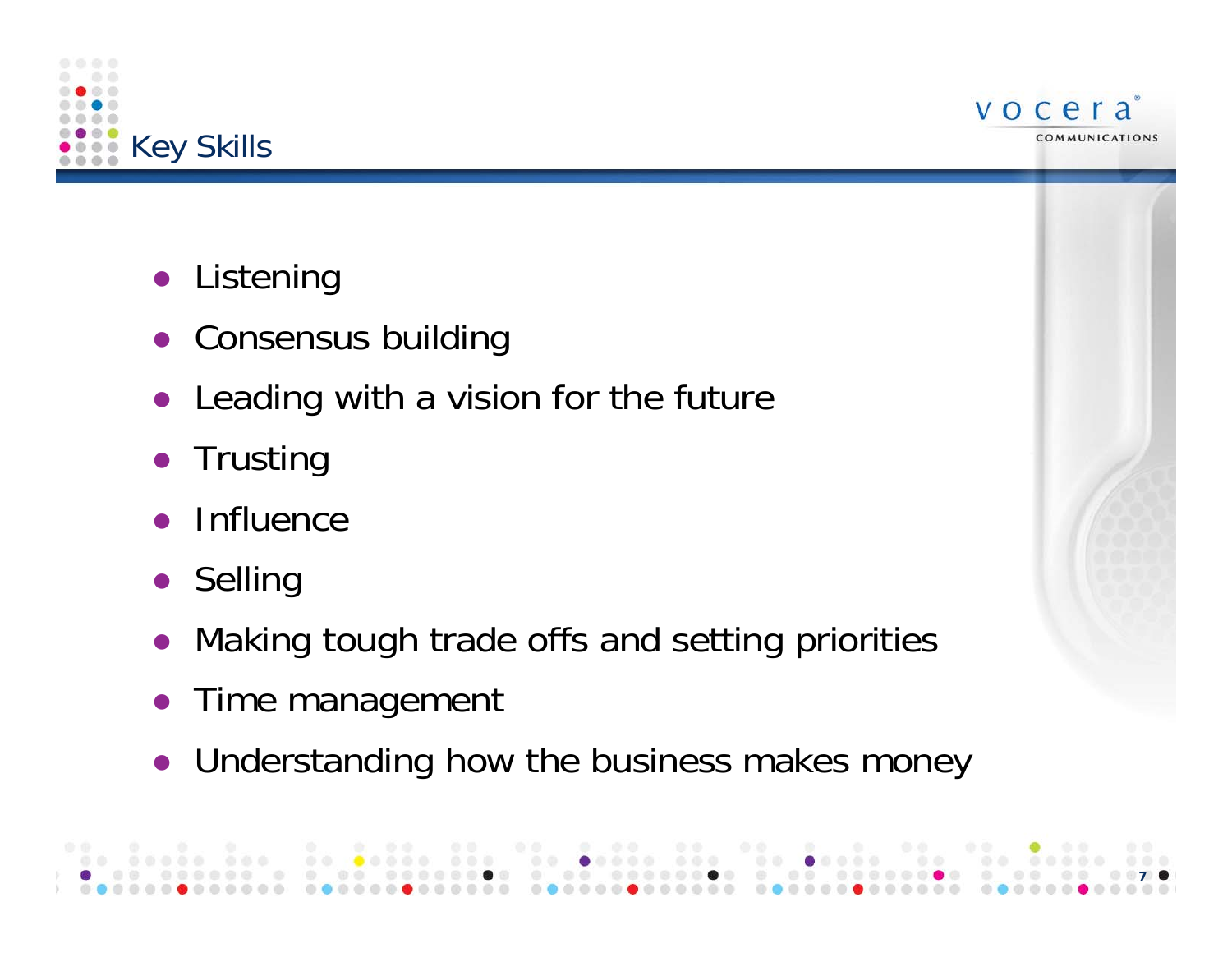



- $\bullet$ Listening
- Consensus building
- Leading with a vision for the future
- $\bullet$ **Trusting**
- $\bullet$ Influence
- Selling
- Making tough trade offs and setting priorities
- Time management
- Understanding how the business makes money

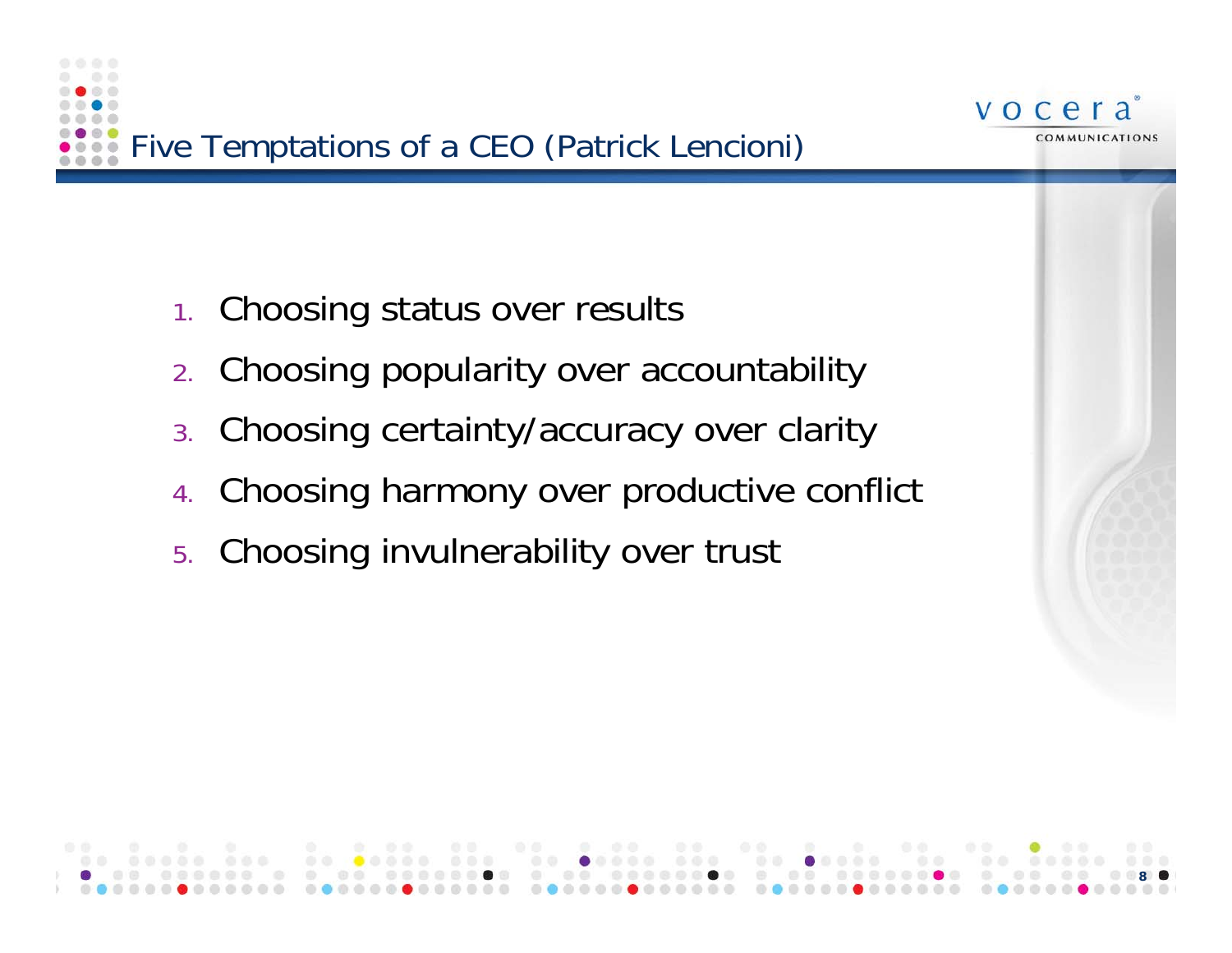

- 1.Choosing status over results
- 2.Choosing popularity over accountability
- 3.Choosing certainty/accuracy over clarity
- 4.Choosing harmony over productive conflict

vocera

COMMUNICATIONS

5.Choosing invulnerability over trust

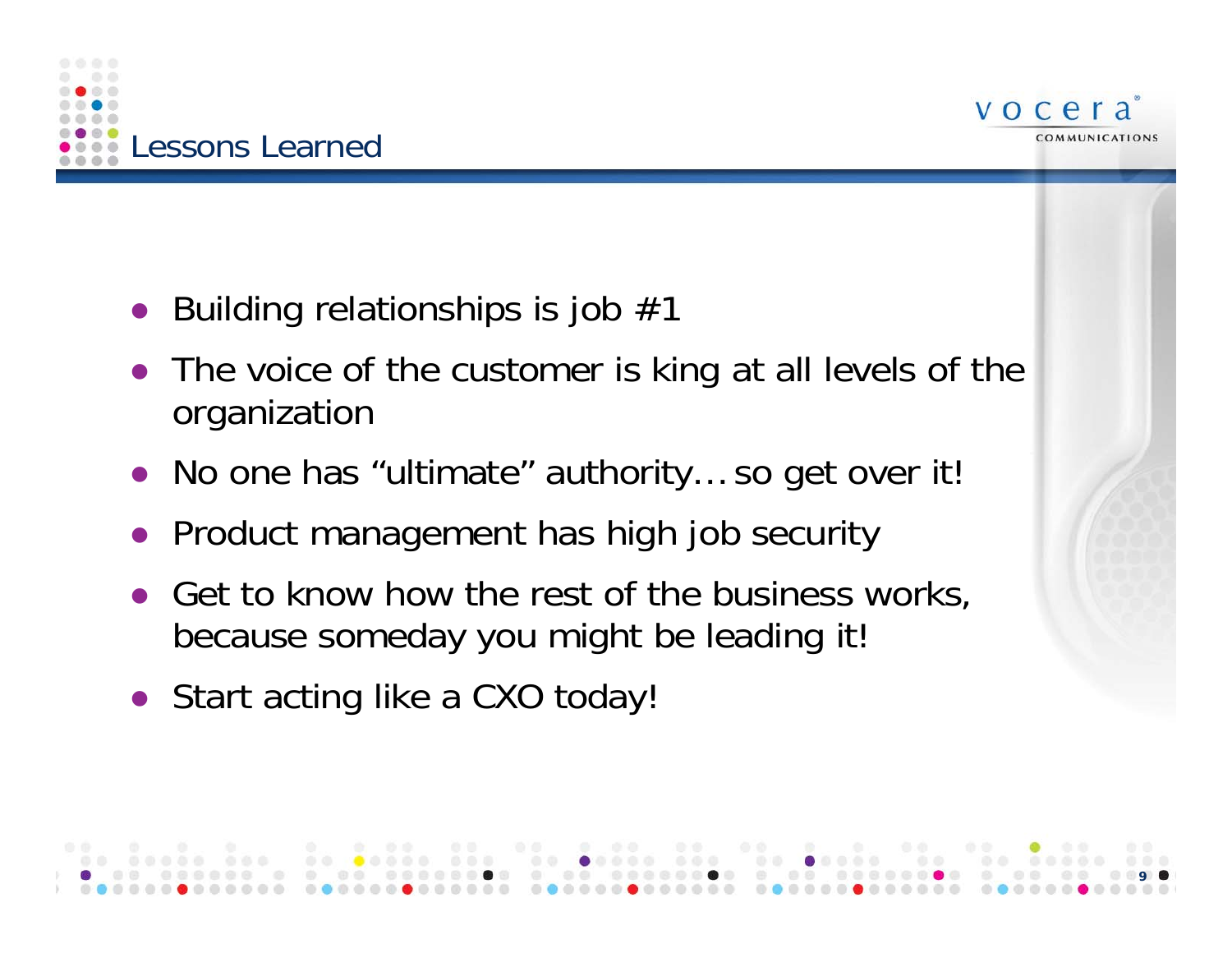



**9**

- Building relationships is job  $#^2$
- $\bullet$  The voice of the customer is king at all levels of the organization
- No one has "ultimate" authority... so get over it
- Product management has high job security
- $\bullet$ Get to know how the rest of the business works, because someday you might be leading it!
- Start acting like a CXO today